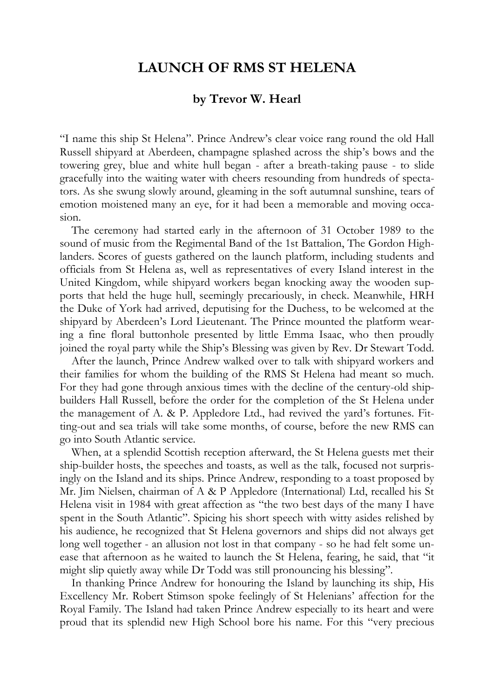## **LAUNCH OF RMS ST HELENA**

## **by Trevor W. Hearl**

"I name this ship St Helena". Prince Andrew's clear voice rang round the old Hall Russell shipyard at Aberdeen, champagne splashed across the ship's bows and the towering grey, blue and white hull began - after a breath-taking pause - to slide gracefully into the waiting water with cheers resounding from hundreds of spectators. As she swung slowly around, gleaming in the soft autumnal sunshine, tears of emotion moistened many an eye, for it had been a memorable and moving occasion.

The ceremony had started early in the afternoon of 31 October 1989 to the sound of music from the Regimental Band of the 1st Battalion, The Gordon Highlanders. Scores of guests gathered on the launch platform, including students and officials from St Helena as, well as representatives of every Island interest in the United Kingdom, while shipyard workers began knocking away the wooden supports that held the huge hull, seemingly precariously, in check. Meanwhile, HRH the Duke of York had arrived, deputising for the Duchess, to be welcomed at the shipyard by Aberdeen's Lord Lieutenant. The Prince mounted the platform wearing a fine floral buttonhole presented by little Emma Isaac, who then proudly joined the royal party while the Ship's Blessing was given by Rev. Dr Stewart Todd.

After the launch, Prince Andrew walked over to talk with shipyard workers and their families for whom the building of the RMS St Helena had meant so much. For they had gone through anxious times with the decline of the century-old shipbuilders Hall Russell, before the order for the completion of the St Helena under the management of A. & P. Appledore Ltd., had revived the yard's fortunes. Fitting-out and sea trials will take some months, of course, before the new RMS can go into South Atlantic service.

When, at a splendid Scottish reception afterward, the St Helena guests met their ship-builder hosts, the speeches and toasts, as well as the talk, focused not surprisingly on the Island and its ships. Prince Andrew, responding to a toast proposed by Mr. Jim Nielsen, chairman of A & P Appledore (International) Ltd, recalled his St Helena visit in 1984 with great affection as "the two best days of the many I have spent in the South Atlantic". Spicing his short speech with witty asides relished by his audience, he recognized that St Helena governors and ships did not always get long well together - an allusion not lost in that company - so he had felt some unease that afternoon as he waited to launch the St Helena, fearing, he said, that "it might slip quietly away while Dr Todd was still pronouncing his blessing".

In thanking Prince Andrew for honouring the Island by launching its ship, His Excellency Mr. Robert Stimson spoke feelingly of St Helenians' affection for the Royal Family. The Island had taken Prince Andrew especially to its heart and were proud that its splendid new High School bore his name. For this "very precious